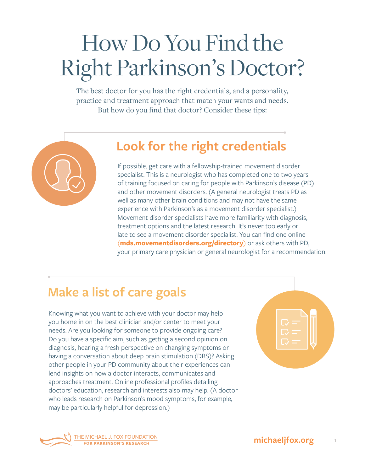# How Do You Find the Right Parkinson's Doctor?

The best doctor for you has the right credentials, and a personality, practice and treatment approach that match your wants and needs. But how do you find that doctor? Consider these tips:



#### **Look for the right credentials**

If possible, get care with a fellowship-trained movement disorder specialist. This is a neurologist who has completed one to two years of training focused on caring for people with Parkinson's disease (PD) and other movement disorders. (A general neurologist treats PD as well as many other brain conditions and may not have the same experience with Parkinson's as a movement disorder specialist.) Movement disorder specialists have more familiarity with diagnosis, treatment options and the latest research. It's never too early or late to see a movement disorder specialist. You can find one online (**[mds.movementdisorders.org/directory](http://mds.movementdisorders.org/directory)**) or ask others with PD, your primary care physician or general neurologist for a recommendation.

### **Make a list of care goals**

Knowing what you want to achieve with your doctor may help you home in on the best clinician and/or center to meet your needs. Are you looking for someone to provide ongoing care? Do you have a specific aim, such as getting a second opinion on diagnosis, hearing a fresh perspective on changing symptoms or having a conversation about deep brain stimulation (DBS)? Asking other people in your PD community about their experiences can lend insights on how a doctor interacts, communicates and approaches treatment. Online professional profiles detailing doctors' education, research and interests also may help. (A doctor who leads research on Parkinson's mood symptoms, for example, may be particularly helpful for depression.)



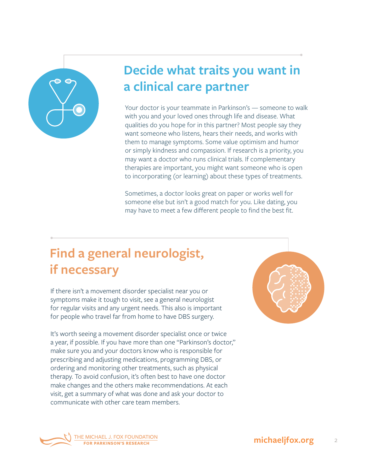

# **Decide what traits you want in a clinical care partner**

Your doctor is your teammate in Parkinson's — someone to walk with you and your loved ones through life and disease. What qualities do you hope for in this partner? Most people say they want someone who listens, hears their needs, and works with them to manage symptoms. Some value optimism and humor or simply kindness and compassion. If research is a priority, you may want a doctor who runs clinical trials. If complementary therapies are important, you might want someone who is open to incorporating (or learning) about these types of treatments.

Sometimes, a doctor looks great on paper or works well for someone else but isn't a good match for you. Like dating, you may have to meet a few different people to find the best fit.

## **Find a general neurologist, if necessary**

If there isn't a movement disorder specialist near you or symptoms make it tough to visit, see a general neurologist for regular visits and any urgent needs. This also is important for people who travel far from home to have DBS surgery.

It's worth seeing a movement disorder specialist once or twice a year, if possible. If you have more than one "Parkinson's doctor," make sure you and your doctors know who is responsible for prescribing and adjusting medications, programming DBS, or ordering and monitoring other treatments, such as physical therapy. To avoid confusion, it's often best to have one doctor make changes and the others make recommendations. At each visit, get a summary of what was done and ask your doctor to communicate with other care team members.